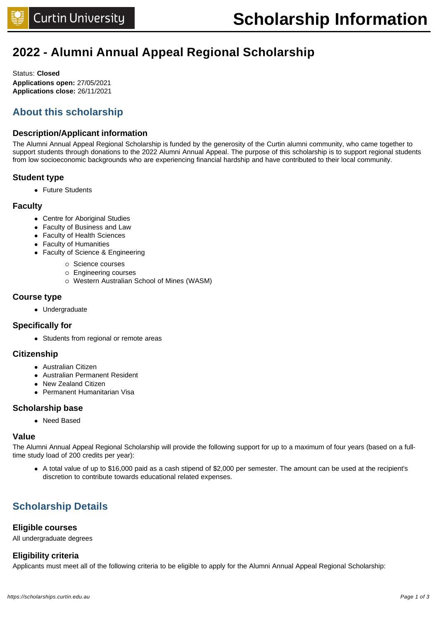# **2022 - Alumni Annual Appeal Regional Scholarship**

Status: **Closed Applications open:** 27/05/2021 **Applications close:** 26/11/2021

# **About this scholarship**

# **Description/Applicant information**

The Alumni Annual Appeal Regional Scholarship is funded by the generosity of the Curtin alumni community, who came together to support students through donations to the 2022 Alumni Annual Appeal. The purpose of this scholarship is to support regional students from low socioeconomic backgrounds who are experiencing financial hardship and have contributed to their local community.

# **Student type**

• Future Students

# **Faculty**

- Centre for Aboriginal Studies
- Faculty of Business and Law
- Faculty of Health Sciences
- Faculty of Humanities
- Faculty of Science & Engineering
	- o Science courses
	- o Engineering courses
	- $\circ$  Western Australian School of Mines (WASM)

## **Course type**

• Undergraduate

# **Specifically for**

• Students from regional or remote areas

# **Citizenship**

- **•** Australian Citizen
- Australian Permanent Resident
- New Zealand Citizen
- Permanent Humanitarian Visa

# **Scholarship base**

• Need Based

## **Value**

The Alumni Annual Appeal Regional Scholarship will provide the following support for up to a maximum of four years (based on a fulltime study load of 200 credits per year):

• A total value of up to \$16,000 paid as a cash stipend of \$2,000 per semester. The amount can be used at the recipient's discretion to contribute towards educational related expenses.

# **Scholarship Details**

# **Eligible courses**

All undergraduate degrees

# **Eligibility criteria**

Applicants must meet all of the following criteria to be eligible to apply for the Alumni Annual Appeal Regional Scholarship: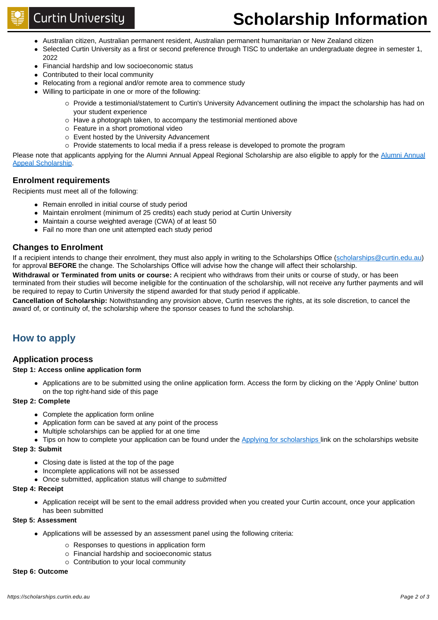# **Scholarship Information**

- Australian citizen, Australian permanent resident, Australian permanent humanitarian or New Zealand citizen
- Selected Curtin University as a first or second preference through TISC to undertake an undergraduate degree in semester 1, 2022
- Financial hardship and low socioeconomic status
- Contributed to their local community
- Relocating from a regional and/or remote area to commence study
- Willing to participate in one or more of the following:
	- $\circ$  Provide a testimonial/statement to Curtin's University Advancement outlining the impact the scholarship has had on your student experience
	- $\circ$  Have a photograph taken, to accompany the testimonial mentioned above
	- $\circ$  Feature in a short promotional video
	- o Event hosted by the University Advancement
	- $\circ$  Provide statements to local media if a press release is developed to promote the program

Please note that applicants applying for the Alumni Annual Appeal Regional Scholarship are also eligible to apply for the [Alumni Annual](https://scholarshipsapp.curtin.edu.au/scholarships/4989)  [Appeal Scholarship.](https://scholarshipsapp.curtin.edu.au/scholarships/4989)

## **Enrolment requirements**

Recipients must meet all of the following:

- Remain enrolled in initial course of study period
- Maintain enrolment (minimum of 25 credits) each study period at Curtin University
- Maintain a course weighted average (CWA) of at least 50
- Fail no more than one unit attempted each study period

## **Changes to Enrolment**

If a recipient intends to change their enrolment, they must also apply in writing to the Scholarships Office [\(scholarships@curtin.edu.au\)](mailto:scholarships@curtin.edu.au) for approval **BEFORE** the change. The Scholarships Office will advise how the change will affect their scholarship.

**Withdrawal or Terminated from units or course:** A recipient who withdraws from their units or course of study, or has been terminated from their studies will become ineligible for the continuation of the scholarship, will not receive any further payments and will be required to repay to Curtin University the stipend awarded for that study period if applicable.

**Cancellation of Scholarship:** Notwithstanding any provision above, Curtin reserves the rights, at its sole discretion, to cancel the award of, or continuity of, the scholarship where the sponsor ceases to fund the scholarship.

# **How to apply**

## **Application process**

#### **Step 1: Access online application form**

• Applications are to be submitted using the online application form. Access the form by clicking on the 'Apply Online' button on the top right-hand side of this page

#### **Step 2: Complete**

- Complete the application form online
- Application form can be saved at any point of the process
- Multiple scholarships can be applied for at one time
- Tips on how to complete your application can be found under the [Applying for scholarships l](https://scholarships.curtin.edu.au/apply/)ink on the scholarships website

#### **Step 3: Submit**

- Closing date is listed at the top of the page
- $\bullet$  Incomplete applications will not be assessed
- Once submitted, application status will change to submitted

#### **Step 4: Receipt**

• Application receipt will be sent to the email address provided when you created your Curtin account, once your application has been submitted

#### **Step 5: Assessment**

- Applications will be assessed by an assessment panel using the following criteria:
	- $\circ$  Responses to questions in application form
	- o Financial hardship and socioeconomic status
	- $\circ$  Contribution to your local community

#### **Step 6: Outcome**